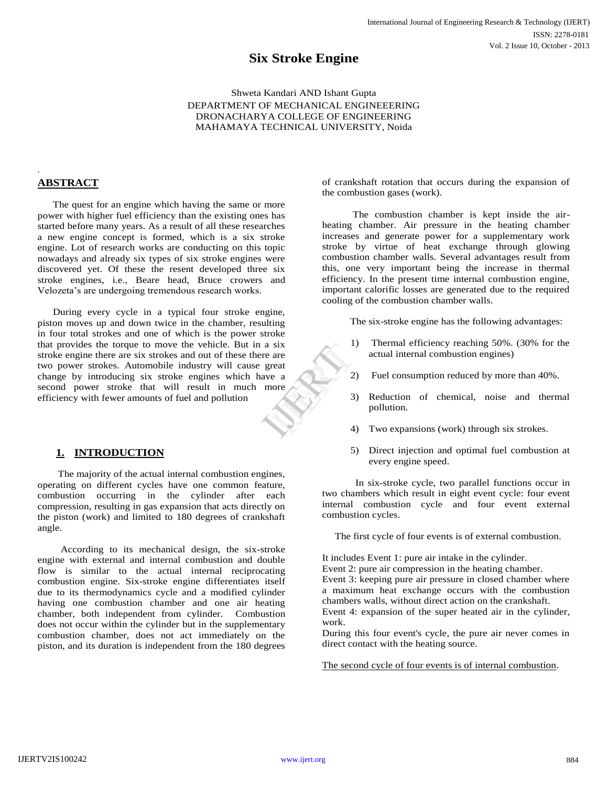# **Six Stroke Engine**

Shweta Kandari AND Ishant Gupta DEPARTMENT OF MECHANICAL ENGINEEERING DRONACHARYA COLLEGE OF ENGINEERING MAHAMAYA TECHNICAL UNIVERSITY, Noida

## **ABSTRACT**

.

 The quest for an engine which having the same or more power with higher fuel efficiency than the existing ones has started before many years. As a result of all these researches a new engine concept is formed, which is a six stroke engine. Lot of research works are conducting on this topic nowadays and already six types of six stroke engines were discovered yet. Of these the resent developed three six stroke engines, i.e., Beare head, Bruce crowers and Velozeta's are undergoing tremendous research works.

 During every cycle in a typical four stroke engine, piston moves up and down twice in the chamber, resulting in four total strokes and one of which is the power stroke that provides the torque to move the vehicle. But in a six stroke engine there are six strokes and out of these there are two power strokes. Automobile industry will cause great change by introducing six stroke engines which have a second power stroke that will result in much more efficiency with fewer amounts of fuel and pollution  $\begin{pmatrix} 1 \end{pmatrix}$ <br>
are<br>
reat<br>
e a<br>
nore<br>  $\begin{pmatrix} 2 \end{pmatrix}$ <br>  $\begin{pmatrix} 3 \end{pmatrix}$ <br>  $\begin{pmatrix} 4 \end{pmatrix}$ 

## **1. INTRODUCTION**

 The majority of the actual internal combustion engines, operating on different cycles have one common feature, combustion occurring in the cylinder after each compression, resulting in gas expansion that acts directly on the piston (work) and limited to 180 degrees of crankshaft angle.

 According to its mechanical design, the six-stroke engine with external and internal combustion and double flow is similar to the actual internal reciprocating combustion engine. Six-stroke engine differentiates itself due to its thermodynamics cycle and a modified cylinder having one combustion chamber and one air heating chamber, both independent from cylinder. Combustion does not occur within the cylinder but in the supplementary combustion chamber, does not act immediately on the piston, and its duration is independent from the 180 degrees of crankshaft rotation that occurs during the expansion of the combustion gases (work).

 The combustion chamber is kept inside the airheating chamber. Air pressure in the heating chamber increases and generate power for a supplementary work stroke by virtue of heat exchange through glowing combustion chamber walls. Several advantages result from this, one very important being the increase in thermal efficiency. In the present time internal combustion engine, important calorific losses are generated due to the required cooling of the combustion chamber walls.

The six-stroke engine has the following advantages:

- 1) Thermal efficiency reaching 50%. (30% for the actual internal combustion engines)
- 2) Fuel consumption reduced by more than 40%.
- 3) Reduction of chemical, noise and thermal pollution.
- 4) Two expansions (work) through six strokes.
- 5) Direct injection and optimal fuel combustion at every engine speed.

 In six-stroke cycle, two parallel functions occur in two chambers which result in eight event cycle: four event internal combustion cycle and four event external combustion cycles.

The first cycle of four events is of external combustion.

It includes Event 1: pure air intake in the cylinder. Event 2: pure air compression in the heating chamber. Event 3: keeping pure air pressure in closed chamber where a maximum heat exchange occurs with the combustion chambers walls, without direct action on the crankshaft. Event 4: expansion of the super heated air in the cylinder,

During this four event's cycle, the pure air never comes in direct contact with the heating source.

The second cycle of four events is of internal combustion.

work.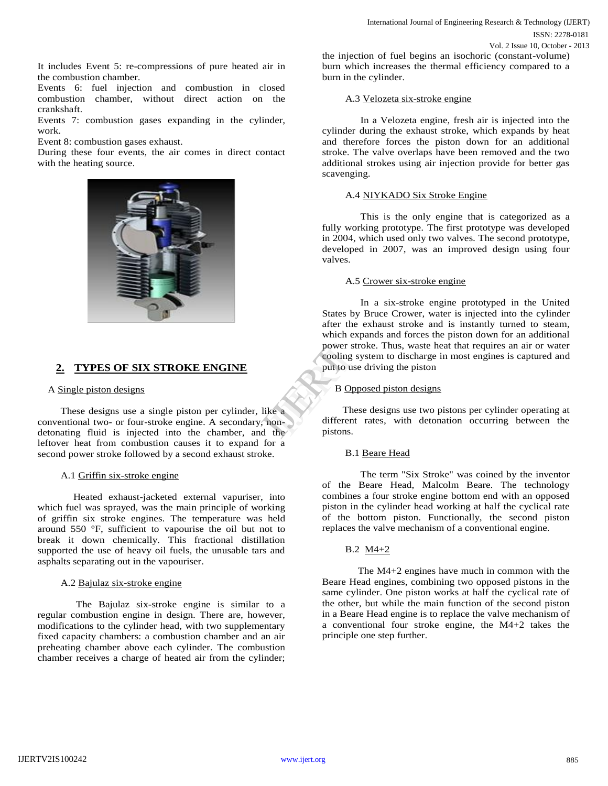It includes Event 5: re-compressions of pure heated air in the combustion chamber.

Events 6: fuel injection and combustion in closed combustion chamber, without direct action on the crankshaft.

Events 7: combustion gases expanding in the cylinder, work.

Event 8: combustion gases exhaust.

During these four events, the air comes in direct contact with the heating source.



## **2. TYPES OF SIX STROKE ENGINE**

#### A Single piston designs

 These designs use a single piston per cylinder, like a conventional two- or four-stroke engine. A secondary, nondetonating fluid is injected into the chamber, and the leftover heat from combustion causes it to expand for a second power stroke followed by a second exhaust stroke.

#### A.1 Griffin six-stroke engine

 Heated exhaust-jacketed external vapuriser, into which fuel was sprayed, was the main principle of working of griffin six stroke engines. The temperature was held around 550 °F, sufficient to vapourise the oil but not to break it down chemically. This fractional distillation supported the use of heavy oil fuels, the unusable tars and asphalts separating out in the vapouriser.

#### A.2 Bajulaz six-stroke engine

 The Bajulaz six-stroke engine is similar to a regular combustion engine in design. There are, however, modifications to the cylinder head, with two supplementary fixed capacity chambers: a combustion chamber and an air preheating chamber above each cylinder. The combustion chamber receives a charge of heated air from the cylinder; the injection of fuel begins an isochoric (constant-volume) burn which increases the thermal efficiency compared to a burn in the cylinder.

#### A.3 Velozeta six-stroke engine

 In a Velozeta engine, fresh air is injected into the cylinder during the exhaust stroke, which expands by heat and therefore forces the piston down for an additional stroke. The valve overlaps have been removed and the two additional strokes using air injection provide for better gas scavenging.

### A.4 NIYKADO Six Stroke Engine

 This is the only engine that is categorized as a fully working prototype. The first prototype was developed in 2004, which used only two valves. The second prototype, developed in 2007, was an improved design using four valves.

#### A.5 Crower six-stroke engine

 In a six-stroke engine prototyped in the United States by Bruce Crower, water is injected into the cylinder after the exhaust stroke and is instantly turned to steam, which expands and forces the piston down for an additional power stroke. Thus, waste heat that requires an air or water cooling system to discharge in most engines is captured and put to use driving the piston

#### B Opposed piston designs

 These designs use two pistons per cylinder operating at different rates, with detonation occurring between the pistons. power strong sy<br>
put to use<br>
put to use<br>
put to use<br>
B Opposition<br>
B Opposition<br>
These<br>
different<br>
the pistons.

#### B.1 Beare Head

 The term "Six Stroke" was coined by the inventor of the Beare Head, Malcolm Beare. The technology combines a four stroke engine bottom end with an opposed piston in the cylinder head working at half the cyclical rate of the bottom piston. Functionally, the second piston replaces the valve mechanism of a conventional engine.

#### B.2 M4+2

 The M4+2 engines have much in common with the Beare Head engines, combining two opposed pistons in the same cylinder. One piston works at half the cyclical rate of the other, but while the main function of the second piston in a Beare Head engine is to replace the valve mechanism of a conventional four stroke engine, the M4+2 takes the principle one step further.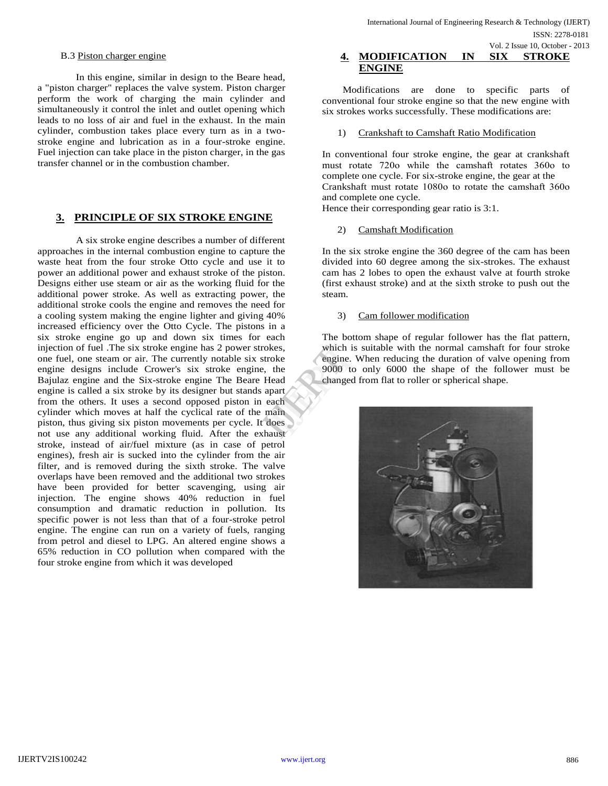#### B.3 Piston charger engine

 In this engine, similar in design to the Beare head, a "piston charger" replaces the valve system. Piston charger perform the work of charging the main cylinder and simultaneously it control the inlet and outlet opening which leads to no loss of air and fuel in the exhaust. In the main cylinder, combustion takes place every turn as in a twostroke engine and lubrication as in a four-stroke engine. Fuel injection can take place in the piston charger, in the gas transfer channel or in the combustion chamber.

### **3. PRINCIPLE OF SIX STROKE ENGINE**

 A six stroke engine describes a number of different approaches in the internal combustion engine to capture the waste heat from the four stroke Otto cycle and use it to power an additional power and exhaust stroke of the piston. Designs either use steam or air as the working fluid for the additional power stroke. As well as extracting power, the additional stroke cools the engine and removes the need for a cooling system making the engine lighter and giving 40% increased efficiency over the Otto Cycle. The pistons in a six stroke engine go up and down six times for each injection of fuel .The six stroke engine has 2 power strokes, one fuel, one steam or air. The currently notable six stroke engine designs include Crower's six stroke engine, the Bajulaz engine and the Six-stroke engine The Beare Head engine is called a six stroke by its designer but stands apart from the others. It uses a second opposed piston in each cylinder which moves at half the cyclical rate of the main piston, thus giving six piston movements per cycle. It does not use any additional working fluid. After the exhaust stroke, instead of air/fuel mixture (as in case of petrol engines), fresh air is sucked into the cylinder from the air filter, and is removed during the sixth stroke. The valve overlaps have been removed and the additional two strokes have been provided for better scavenging, using air injection. The engine shows 40% reduction in fuel consumption and dramatic reduction in pollution. Its specific power is not less than that of a four-stroke petrol engine. The engine can run on a variety of fuels, ranging from petrol and diesel to LPG. An altered engine shows a 65% reduction in CO pollution when compared with the four stroke engine from which it was developed

### **4. MODIFICATION IN SIX STROKE ENGINE** Vol. 2 Issue 10, October - 2013

 Modifications are done to specific parts of conventional four stroke engine so that the new engine with six strokes works successfully. These modifications are:

#### 1) Crankshaft to Camshaft Ratio Modification

In conventional four stroke engine, the gear at crankshaft must rotate 720ο while the camshaft rotates 360ο to complete one cycle. For six-stroke engine, the gear at the Crankshaft must rotate 1080ο to rotate the camshaft 360ο and complete one cycle.

Hence their corresponding gear ratio is 3:1.

#### 2) Camshaft Modification

In the six stroke engine the 360 degree of the cam has been divided into 60 degree among the six-strokes. The exhaust cam has 2 lobes to open the exhaust valve at fourth stroke (first exhaust stroke) and at the sixth stroke to push out the steam.

#### 3) Cam follower modification

The bottom shape of regular follower has the flat pattern, which is suitable with the normal camshaft for four stroke engine. When reducing the duration of valve opening from 9000 to only 6000 the shape of the follower must be changed from flat to roller or spherical shape. kes, which is s<br>
oke engine. W<br>
the 9000 to c<br>
ead changed fr<br>
ach<br>
ain<br>
oes<br>
aust

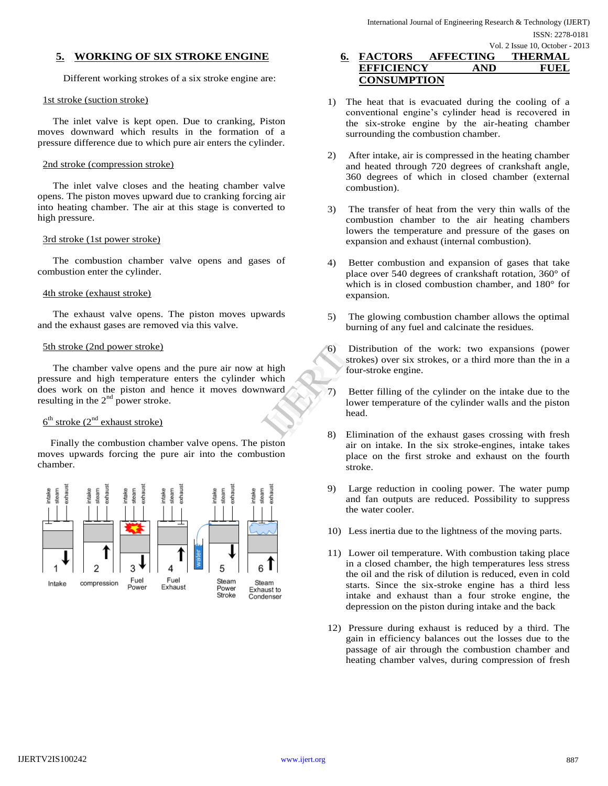### **5. WORKING OF SIX STROKE ENGINE**

Different working strokes of a six stroke engine are:

#### 1st stroke (suction stroke)

 The inlet valve is kept open. Due to cranking, Piston moves downward which results in the formation of a pressure difference due to which pure air enters the cylinder.

#### 2nd stroke (compression stroke)

 The inlet valve closes and the heating chamber valve opens. The piston moves upward due to cranking forcing air into heating chamber. The air at this stage is converted to high pressure.

#### 3rd stroke (1st power stroke)

 The combustion chamber valve opens and gases of combustion enter the cylinder.

#### 4th stroke (exhaust stroke)

 The exhaust valve opens. The piston moves upwards and the exhaust gases are removed via this valve.

#### 5th stroke (2nd power stroke)

 The chamber valve opens and the pure air now at high pressure and high temperature enters the cylinder which does work on the piston and hence it moves downward resulting in the  $2<sup>nd</sup>$  power stroke.

### $6<sup>th</sup>$  stroke  $(2<sup>nd</sup>$  exhaust stroke)

 Finally the combustion chamber valve opens. The piston moves upwards forcing the pure air into the combustion chamber.



## **6. FACTORS AFFECTING THERMAL EFFICIENCY AND FUEL CONSUMPTION**

- 1) The heat that is evacuated during the cooling of a conventional engine's cylinder head is recovered in the six-stroke engine by the air-heating chamber surrounding the combustion chamber.
- 2) After intake, air is compressed in the heating chamber and heated through 720 degrees of crankshaft angle, 360 degrees of which in closed chamber (external combustion).
- 3) The transfer of heat from the very thin walls of the combustion chamber to the air heating chambers lowers the temperature and pressure of the gases on expansion and exhaust (internal combustion).
- 4) Better combustion and expansion of gases that take place over 540 degrees of crankshaft rotation, 360° of which is in closed combustion chamber, and 180° for expansion.
- 5) The glowing combustion chamber allows the optimal burning of any fuel and calcinate the residues.
- 6) Distribution of the work: two expansions (power strokes) over six strokes, or a third more than the in a four-stroke engine. Extra light<br>
Inich<br>
Inich<br>
Inich<br>
Inich<br>
Inich<br>
Inich<br>
Inich<br>
Inich<br>
Inich<br>
Inich<br>
Inich<br>
Inich<br>
Inich<br>
Inich<br>
Inich<br>
Inich<br>
Inich<br>
Inich<br>
Inich<br>
Inich<br>
Inich<br>
Inich<br>
Initial<br>
Initial<br>
Initial<br>
Initial<br>
Initial<br>
Initial<br>
I
	- 7) Better filling of the cylinder on the intake due to the lower temperature of the cylinder walls and the piston head.
	- 8) Elimination of the exhaust gases crossing with fresh air on intake. In the six stroke-engines, intake takes place on the first stroke and exhaust on the fourth stroke.
	- 9) Large reduction in cooling power. The water pump and fan outputs are reduced. Possibility to suppress the water cooler.
	- 10) Less inertia due to the lightness of the moving parts.
	- 11) Lower oil temperature. With combustion taking place in a closed chamber, the high temperatures less stress the oil and the risk of dilution is reduced, even in cold starts. Since the six-stroke engine has a third less intake and exhaust than a four stroke engine, the depression on the piston during intake and the back
	- 12) Pressure during exhaust is reduced by a third. The gain in efficiency balances out the losses due to the passage of air through the combustion chamber and heating chamber valves, during compression of fresh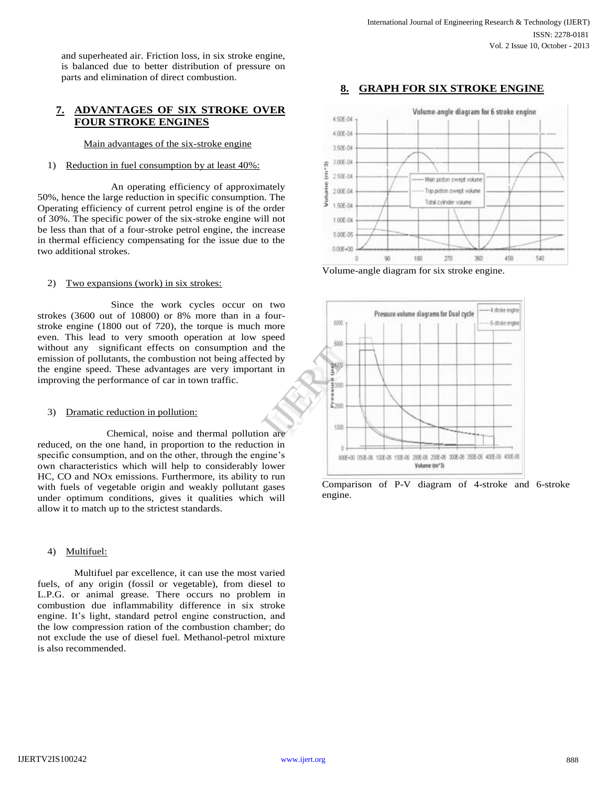and superheated air. Friction loss, in six stroke engine, is balanced due to better distribution of pressure on parts and elimination of direct combustion.

### **7. ADVANTAGES OF SIX STROKE OVER FOUR STROKE ENGINES**

Main advantages of the six-stroke engine

#### 1) Reduction in fuel consumption by at least 40%:

An operating efficiency of approximately 50%, hence the large reduction in specific consumption. The Operating efficiency of current petrol engine is of the order of 30%. The specific power of the six-stroke engine will not be less than that of a four-stroke petrol engine, the increase in thermal efficiency compensating for the issue due to the two additional strokes.

#### 2) Two expansions (work) in six strokes:

Since the work cycles occur on two strokes (3600 out of 10800) or 8% more than in a fourstroke engine (1800 out of 720), the torque is much more even. This lead to very smooth operation at low speed without any significant effects on consumption and the emission of pollutants, the combustion not being affected by the engine speed. These advantages are very important in improving the performance of car in town traffic.

#### 3) Dramatic reduction in pollution:

 Chemical, noise and thermal pollution are reduced, on the one hand, in proportion to the reduction in specific consumption, and on the other, through the engine's own characteristics which will help to considerably lower HC, CO and NOx emissions. Furthermore, its ability to run with fuels of vegetable origin and weakly pollutant gases under optimum conditions, gives it qualities which will allow it to match up to the strictest standards.

#### 4) Multifuel:

Multifuel par excellence, it can use the most varied fuels, of any origin (fossil or vegetable), from diesel to L.P.G. or animal grease. There occurs no problem in combustion due inflammability difference in six stroke engine. It's light, standard petrol engine construction, and the low compression ration of the combustion chamber; do not exclude the use of diesel fuel. Methanol-petrol mixture is also recommended.





Volume-angle diagram for six stroke engine.



Comparison of P-V diagram of 4-stroke and 6-stroke engine.